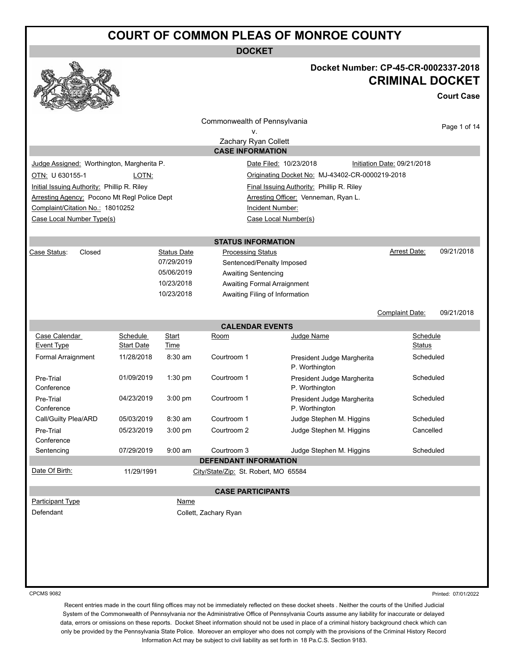**DOCKET**



## **Docket Number: CP-45-CR-0002337-2018 CRIMINAL DOCKET**

**Court Case**

|                                              |                 |                    | Commonwealth of Pennsylvania         |                                                 |                             |              |
|----------------------------------------------|-----------------|--------------------|--------------------------------------|-------------------------------------------------|-----------------------------|--------------|
|                                              |                 |                    | ٧.                                   |                                                 |                             | Page 1 of 14 |
|                                              |                 |                    | Zachary Ryan Collett                 |                                                 |                             |              |
|                                              |                 |                    | <b>CASE INFORMATION</b>              |                                                 |                             |              |
| Judge Assigned: Worthington, Margherita P.   |                 |                    |                                      | Date Filed: 10/23/2018                          | Initiation Date: 09/21/2018 |              |
| OTN: U 630155-1                              | LOTN:           |                    |                                      | Originating Docket No: MJ-43402-CR-0000219-2018 |                             |              |
| Initial Issuing Authority: Phillip R. Riley  |                 |                    |                                      | Final Issuing Authority: Phillip R. Riley       |                             |              |
| Arresting Agency: Pocono Mt Regl Police Dept |                 |                    |                                      | Arresting Officer: Venneman, Ryan L.            |                             |              |
| Complaint/Citation No.: 18010252             |                 |                    |                                      | Incident Number:                                |                             |              |
| Case Local Number Type(s)                    |                 |                    |                                      | Case Local Number(s)                            |                             |              |
|                                              |                 |                    |                                      |                                                 |                             |              |
|                                              |                 |                    | <b>STATUS INFORMATION</b>            |                                                 |                             |              |
| Case Status:<br>Closed                       |                 | <b>Status Date</b> | <b>Processing Status</b>             |                                                 | Arrest Date:                | 09/21/2018   |
|                                              |                 | 07/29/2019         | Sentenced/Penalty Imposed            |                                                 |                             |              |
|                                              |                 | 05/06/2019         | <b>Awaiting Sentencing</b>           |                                                 |                             |              |
|                                              |                 | 10/23/2018         | Awaiting Formal Arraignment          |                                                 |                             |              |
|                                              |                 | 10/23/2018         | Awaiting Filing of Information       |                                                 |                             |              |
|                                              |                 |                    |                                      |                                                 |                             |              |
|                                              |                 |                    |                                      |                                                 | Complaint Date:             | 09/21/2018   |
|                                              |                 |                    | <b>CALENDAR EVENTS</b>               |                                                 |                             |              |
| Case Calendar<br>Event Type                  | <b>Schedule</b> | Start              | Room                                 | Judge Name                                      | Schedule                    |              |
|                                              | Start Date      | Time               |                                      |                                                 | Status                      |              |
| Formal Arraignment                           | 11/28/2018      | $8:30$ am          | Courtroom 1                          | President Judge Margherita<br>P. Worthington    | Scheduled                   |              |
| Pre-Trial<br>Conference                      | 01/09/2019      | $1:30$ pm          | Courtroom 1                          | President Judge Margherita<br>P. Worthington    | Scheduled                   |              |
| Pre-Trial<br>Conference                      | 04/23/2019      | 3:00 pm            | Courtroom 1                          | President Judge Margherita<br>P. Worthington    | Scheduled                   |              |
| Call/Guilty Plea/ARD                         | 05/03/2019      | $8:30$ am          | Courtroom 1                          | Judge Stephen M. Higgins                        | Scheduled                   |              |
| Pre-Trial                                    | 05/23/2019      | 3:00 pm            | Courtroom 2                          | Judge Stephen M. Higgins                        | Cancelled                   |              |
| Conference                                   |                 |                    |                                      |                                                 |                             |              |
| Sentencing                                   | 07/29/2019      | $9:00$ am          | Courtroom 3                          | Judge Stephen M. Higgins                        | Scheduled                   |              |
|                                              |                 |                    | <b>DEFENDANT INFORMATION</b>         |                                                 |                             |              |
| Date Of Birth:                               | 11/29/1991      |                    | City/State/Zip: St. Robert, MO 65584 |                                                 |                             |              |
|                                              |                 |                    |                                      |                                                 |                             |              |
|                                              |                 |                    | <b>CASE PARTICIPANTS</b>             |                                                 |                             |              |
| Participant Type                             |                 | Name               |                                      |                                                 |                             |              |
| Defendant                                    |                 |                    | Collett, Zachary Ryan                |                                                 |                             |              |
|                                              |                 |                    |                                      |                                                 |                             |              |
|                                              |                 |                    |                                      |                                                 |                             |              |
|                                              |                 |                    |                                      |                                                 |                             |              |
|                                              |                 |                    |                                      |                                                 |                             |              |
|                                              |                 |                    |                                      |                                                 |                             |              |
|                                              |                 |                    |                                      |                                                 |                             |              |

CPCMS 9082

Printed: 07/01/2022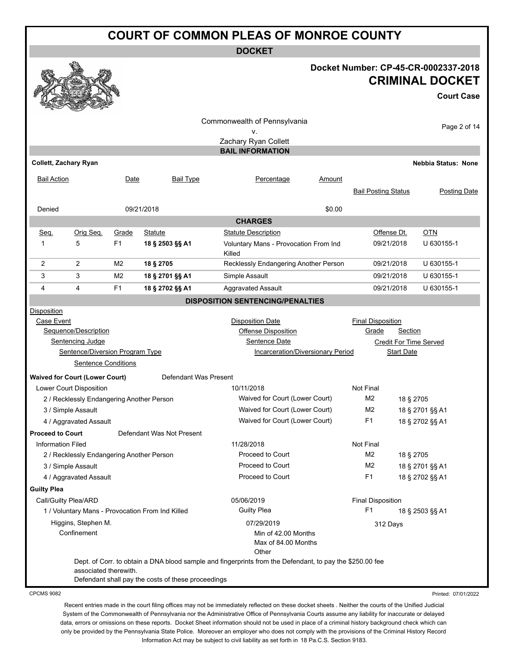**DOCKET**

#### **Docket Number: CP-45-CR-0002337-2018 CRIMINAL DOCKET**

**Court Case**

|                         |                                           |                |                                                    | Commonwealth of Pennsylvania                                                                             |               |                            |                   |                            |  |
|-------------------------|-------------------------------------------|----------------|----------------------------------------------------|----------------------------------------------------------------------------------------------------------|---------------|----------------------------|-------------------|----------------------------|--|
|                         |                                           |                |                                                    | v.                                                                                                       |               |                            |                   | Page 2 of 14               |  |
|                         |                                           |                |                                                    | Zachary Ryan Collett                                                                                     |               |                            |                   |                            |  |
|                         |                                           |                |                                                    | <b>BAIL INFORMATION</b>                                                                                  |               |                            |                   |                            |  |
| Collett, Zachary Ryan   |                                           |                |                                                    |                                                                                                          |               |                            |                   | <b>Nebbia Status: None</b> |  |
| <b>Bail Action</b>      |                                           | Date           | <b>Bail Type</b>                                   | Percentage                                                                                               | <u>Amount</u> |                            |                   |                            |  |
|                         |                                           |                |                                                    |                                                                                                          |               | <b>Bail Posting Status</b> |                   | Posting Date               |  |
|                         |                                           |                |                                                    |                                                                                                          |               |                            |                   |                            |  |
| Denied                  |                                           |                | 09/21/2018                                         |                                                                                                          | \$0.00        |                            |                   |                            |  |
|                         |                                           |                |                                                    | <b>CHARGES</b>                                                                                           |               |                            |                   |                            |  |
| Seq.                    | Orig Seq.                                 | Grade          | <b>Statute</b>                                     | <b>Statute Description</b>                                                                               |               |                            | Offense Dt.       | <b>OTN</b>                 |  |
| 1                       | 5                                         | F <sub>1</sub> | 18 § 2503 §§ A1                                    | Voluntary Mans - Provocation From Ind                                                                    |               |                            | 09/21/2018        | U 630155-1                 |  |
|                         |                                           |                |                                                    | Killed                                                                                                   |               |                            |                   |                            |  |
| 2                       | 2                                         | M <sub>2</sub> | 18 § 2705                                          | Recklessly Endangering Another Person                                                                    |               |                            | 09/21/2018        | U 630155-1                 |  |
| 3                       | 3                                         | M <sub>2</sub> | 18 § 2701 §§ A1                                    | Simple Assault                                                                                           |               |                            | 09/21/2018        | U 630155-1                 |  |
| 4                       | 4                                         | F <sub>1</sub> | 18 § 2702 §§ A1                                    | <b>Aggravated Assault</b>                                                                                |               |                            | 09/21/2018        | U 630155-1                 |  |
|                         |                                           |                |                                                    | <b>DISPOSITION SENTENCING/PENALTIES</b>                                                                  |               |                            |                   |                            |  |
| Disposition             |                                           |                |                                                    |                                                                                                          |               |                            |                   |                            |  |
| Case Event              |                                           |                |                                                    | <b>Disposition Date</b>                                                                                  |               | <b>Final Disposition</b>   |                   |                            |  |
|                         | Sequence/Description                      |                |                                                    | Offense Disposition                                                                                      |               | Grade                      | Section           |                            |  |
|                         | Sentencing Judge                          |                |                                                    | Sentence Date                                                                                            |               |                            |                   | Credit For Time Served     |  |
|                         | Sentence/Diversion Program Type           |                |                                                    | Incarceration/Diversionary Period                                                                        |               |                            | <b>Start Date</b> |                            |  |
|                         | <b>Sentence Conditions</b>                |                |                                                    |                                                                                                          |               |                            |                   |                            |  |
|                         | <b>Waived for Court (Lower Court)</b>     |                | Defendant Was Present                              |                                                                                                          |               |                            |                   |                            |  |
|                         | Lower Court Disposition                   |                |                                                    | 10/11/2018                                                                                               |               | Not Final                  |                   |                            |  |
|                         | 2 / Recklessly Endangering Another Person |                |                                                    | Waived for Court (Lower Court)                                                                           |               | M2                         | 18 § 2705         |                            |  |
|                         | 3 / Simple Assault                        |                |                                                    | Waived for Court (Lower Court)                                                                           |               | M2                         |                   | 18 § 2701 §§ A1            |  |
|                         | 4 / Aggravated Assault                    |                |                                                    | Waived for Court (Lower Court)                                                                           |               | F1<br>18 § 2702 §§ A1      |                   |                            |  |
| <b>Proceed to Court</b> |                                           |                | Defendant Was Not Present                          |                                                                                                          |               |                            |                   |                            |  |
| Information Filed       |                                           |                |                                                    | 11/28/2018                                                                                               |               | Not Final                  |                   |                            |  |
|                         | 2 / Recklessly Endangering Another Person |                |                                                    | Proceed to Court                                                                                         |               | M2                         | 18 § 2705         |                            |  |
|                         | 3 / Simple Assault                        |                |                                                    | Proceed to Court                                                                                         |               | M2                         |                   | 18 § 2701 §§ A1            |  |
|                         | 4 / Aggravated Assault                    |                |                                                    | Proceed to Court                                                                                         |               | F <sub>1</sub>             |                   | 18 § 2702 §§ A1            |  |
| <b>Guilty Plea</b>      |                                           |                |                                                    |                                                                                                          |               |                            |                   |                            |  |
| Call/Guilty Plea/ARD    |                                           |                |                                                    | 05/06/2019                                                                                               |               | <b>Final Disposition</b>   |                   |                            |  |
|                         |                                           |                | 1 / Voluntary Mans - Provocation From Ind Killed   | <b>Guilty Plea</b>                                                                                       |               | F <sub>1</sub>             |                   | 18 § 2503 §§ A1            |  |
|                         | Higgins, Stephen M.                       |                |                                                    | 07/29/2019                                                                                               |               |                            |                   |                            |  |
|                         | Confinement                               |                |                                                    | Min of 42.00 Months                                                                                      |               |                            | 312 Days          |                            |  |
|                         |                                           |                |                                                    | Max of 84.00 Months                                                                                      |               |                            |                   |                            |  |
|                         |                                           |                |                                                    | Other                                                                                                    |               |                            |                   |                            |  |
|                         |                                           |                |                                                    | Dept. of Corr. to obtain a DNA blood sample and fingerprints from the Defendant, to pay the \$250.00 fee |               |                            |                   |                            |  |
|                         | associated therewith.                     |                |                                                    |                                                                                                          |               |                            |                   |                            |  |
|                         |                                           |                | Defendant shall pay the costs of these proceedings |                                                                                                          |               |                            |                   |                            |  |

CPCMS 9082

Printed: 07/01/2022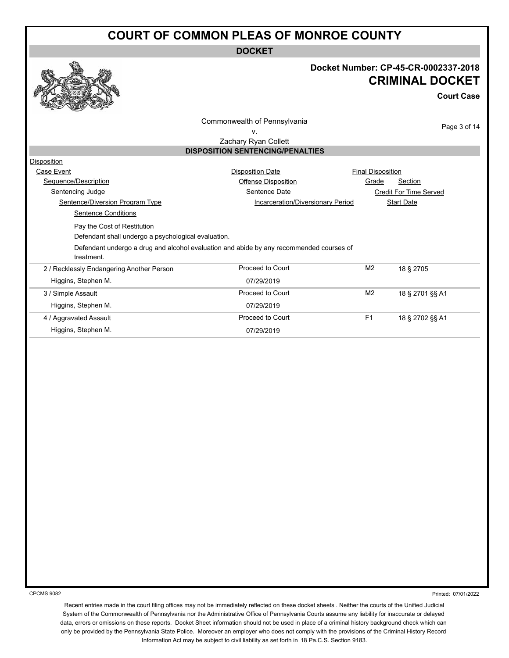**DOCKET**



### **Docket Number: CP-45-CR-0002337-2018 CRIMINAL DOCKET**

**Court Case**

Commonwealth of Pennsylvania

Page 3 of 14

v. Zachary Ryan Collett

#### **DISPOSITION SENTENCING/PENALTIES**

| Disposition                                                                                           |                                   |                          |                        |
|-------------------------------------------------------------------------------------------------------|-----------------------------------|--------------------------|------------------------|
| Case Event                                                                                            | <b>Disposition Date</b>           | <b>Final Disposition</b> |                        |
| Sequence/Description                                                                                  | Offense Disposition               | Grade                    | Section                |
| Sentencing Judge                                                                                      | Sentence Date                     |                          | Credit For Time Served |
| Sentence/Diversion Program Type                                                                       | Incarceration/Diversionary Period |                          | <b>Start Date</b>      |
| Sentence Conditions                                                                                   |                                   |                          |                        |
| Pay the Cost of Restitution                                                                           |                                   |                          |                        |
| Defendant shall undergo a psychological evaluation.                                                   |                                   |                          |                        |
| Defendant undergo a drug and alcohol evaluation and abide by any recommended courses of<br>treatment. |                                   |                          |                        |
| 2 / Recklessly Endangering Another Person                                                             | Proceed to Court                  | M <sub>2</sub>           | 18 § 2705              |
| Higgins, Stephen M.                                                                                   | 07/29/2019                        |                          |                        |
| 3 / Simple Assault                                                                                    | Proceed to Court                  | M <sub>2</sub>           | 18 § 2701 §§ A1        |
| Higgins, Stephen M.                                                                                   | 07/29/2019                        |                          |                        |
| 4 / Aggravated Assault                                                                                | Proceed to Court                  | F <sub>1</sub>           | 18 § 2702 §§ A1        |
| Higgins, Stephen M.                                                                                   | 07/29/2019                        |                          |                        |

CPCMS 9082

Printed: 07/01/2022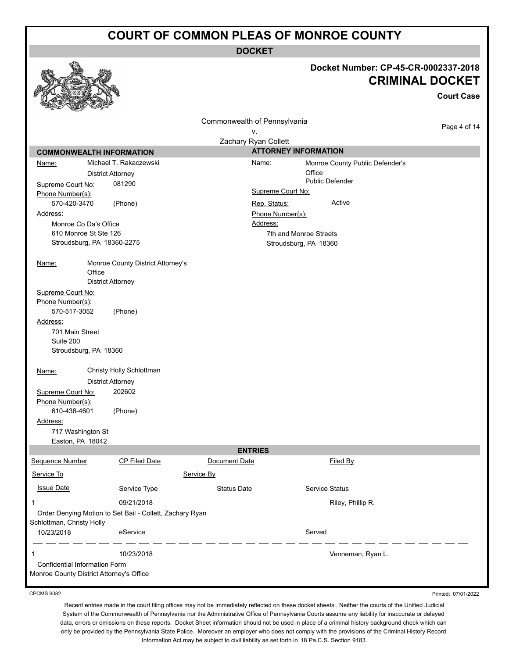**DOCKET**

|                                                                                  |                                                          |                                    |                                                 | Docket Number: CP-45-CR-0002337-2018 | <b>CRIMINAL DOCKET</b><br><b>Court Case</b> |
|----------------------------------------------------------------------------------|----------------------------------------------------------|------------------------------------|-------------------------------------------------|--------------------------------------|---------------------------------------------|
|                                                                                  |                                                          | Commonwealth of Pennsylvania<br>۷. |                                                 |                                      | Page 4 of 14                                |
|                                                                                  |                                                          | Zachary Ryan Collett               |                                                 |                                      |                                             |
| <b>COMMONWEALTH INFORMATION</b>                                                  |                                                          |                                    | <b>ATTORNEY INFORMATION</b>                     |                                      |                                             |
| Name:                                                                            | Michael T. Rakaczewski                                   |                                    | Name:                                           | Monroe County Public Defender's      |                                             |
|                                                                                  | <b>District Attorney</b>                                 |                                    |                                                 | Office                               |                                             |
| Supreme Court No:                                                                | 081290                                                   |                                    |                                                 | <b>Public Defender</b>               |                                             |
| Phone Number(s):                                                                 |                                                          |                                    | Supreme Court No:                               |                                      |                                             |
| 570-420-3470                                                                     | (Phone)                                                  |                                    | Rep. Status:                                    | Active                               |                                             |
| Address:                                                                         |                                                          |                                    | Phone Number(s):                                |                                      |                                             |
| Monroe Co Da's Office<br>610 Monroe St Ste 126                                   |                                                          |                                    | Address:                                        |                                      |                                             |
| Stroudsburg, PA 18360-2275                                                       |                                                          |                                    | 7th and Monroe Streets<br>Stroudsburg, PA 18360 |                                      |                                             |
|                                                                                  |                                                          |                                    |                                                 |                                      |                                             |
| <u>Name:</u><br>Office                                                           | Monroe County District Attorney's                        |                                    |                                                 |                                      |                                             |
|                                                                                  | <b>District Attorney</b>                                 |                                    |                                                 |                                      |                                             |
| Supreme Court No:<br>Phone Number(s):<br>570-517-3052                            | (Phone)                                                  |                                    |                                                 |                                      |                                             |
| Address:                                                                         |                                                          |                                    |                                                 |                                      |                                             |
| 701 Main Street<br>Suite 200                                                     |                                                          |                                    |                                                 |                                      |                                             |
| Stroudsburg, PA 18360                                                            |                                                          |                                    |                                                 |                                      |                                             |
| Name:                                                                            | Christy Holly Schlottman                                 |                                    |                                                 |                                      |                                             |
|                                                                                  | <b>District Attorney</b>                                 |                                    |                                                 |                                      |                                             |
| Supreme Court No:<br>Phone Number(s):                                            | 202602                                                   |                                    |                                                 |                                      |                                             |
| 610-438-4601                                                                     | (Phone)                                                  |                                    |                                                 |                                      |                                             |
| Address:                                                                         |                                                          |                                    |                                                 |                                      |                                             |
| 717 Washington St<br>Easton, PA 18042                                            |                                                          |                                    |                                                 |                                      |                                             |
|                                                                                  |                                                          | <b>ENTRIES</b>                     |                                                 |                                      |                                             |
| Sequence Number                                                                  | <b>CP Filed Date</b>                                     | Document Date                      |                                                 | Filed By                             |                                             |
| Service To                                                                       |                                                          | Service By                         |                                                 |                                      |                                             |
| <b>Issue Date</b>                                                                | Service Type                                             | <b>Status Date</b>                 |                                                 | Service Status                       |                                             |
| 1                                                                                | 09/21/2018                                               |                                    |                                                 | Riley, Phillip R.                    |                                             |
|                                                                                  | Order Denying Motion to Set Bail - Collett, Zachary Ryan |                                    |                                                 |                                      |                                             |
| Schlottman, Christy Holly                                                        |                                                          |                                    |                                                 |                                      |                                             |
| 10/23/2018                                                                       | eService                                                 |                                    |                                                 | Served                               |                                             |
| 1                                                                                | 10/23/2018                                               |                                    |                                                 | Venneman, Ryan L.                    |                                             |
| <b>Confidential Information Form</b><br>Monroe County District Attorney's Office |                                                          |                                    |                                                 |                                      |                                             |
|                                                                                  |                                                          |                                    |                                                 |                                      |                                             |

CPCMS 9082

Recent entries made in the court filing offices may not be immediately reflected on these docket sheets . Neither the courts of the Unified Judicial System of the Commonwealth of Pennsylvania nor the Administrative Office of Pennsylvania Courts assume any liability for inaccurate or delayed data, errors or omissions on these reports. Docket Sheet information should not be used in place of a criminal history background check which can only be provided by the Pennsylvania State Police. Moreover an employer who does not comply with the provisions of the Criminal History Record Information Act may be subject to civil liability as set forth in 18 Pa.C.S. Section 9183.

Printed: 07/01/2022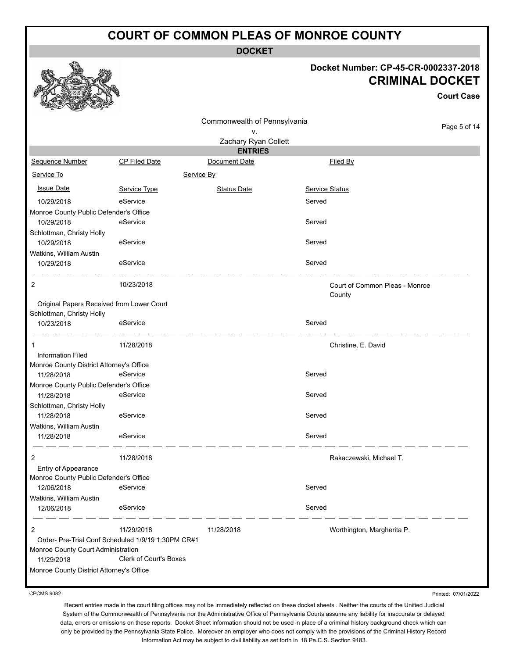**DOCKET**

#### **Docket Number: CP-45-CR-0002337-2018 CRIMINAL DOCKET**

**Court Case**

|                                           |                                                    | Commonwealth of Pennsylvania |                     |                                |
|-------------------------------------------|----------------------------------------------------|------------------------------|---------------------|--------------------------------|
|                                           |                                                    | v.                           |                     | Page 5 of 14                   |
|                                           |                                                    | Zachary Ryan Collett         |                     |                                |
|                                           |                                                    | <b>ENTRIES</b>               |                     |                                |
| Sequence Number                           | <b>CP Filed Date</b>                               | Document Date                | Filed By            |                                |
| Service To                                |                                                    | Service By                   |                     |                                |
| <b>Issue Date</b>                         | Service Type                                       | <b>Status Date</b>           | Service Status      |                                |
| 10/29/2018                                | eService                                           |                              | Served              |                                |
| Monroe County Public Defender's Office    |                                                    |                              |                     |                                |
| 10/29/2018                                | eService                                           |                              | Served              |                                |
| Schlottman, Christy Holly                 |                                                    |                              |                     |                                |
| 10/29/2018                                | eService                                           |                              | Served              |                                |
| Watkins, William Austin                   |                                                    |                              |                     |                                |
| 10/29/2018                                | eService                                           |                              | Served              |                                |
| 2                                         | 10/23/2018                                         |                              |                     | Court of Common Pleas - Monroe |
|                                           |                                                    |                              | County              |                                |
| Original Papers Received from Lower Court |                                                    |                              |                     |                                |
| Schlottman, Christy Holly                 |                                                    |                              |                     |                                |
| 10/23/2018                                | eService                                           |                              | Served              |                                |
| 1                                         | 11/28/2018                                         |                              | Christine, E. David |                                |
| <b>Information Filed</b>                  |                                                    |                              |                     |                                |
| Monroe County District Attorney's Office  |                                                    |                              |                     |                                |
| 11/28/2018                                | eService                                           |                              | Served              |                                |
| Monroe County Public Defender's Office    |                                                    |                              |                     |                                |
| 11/28/2018                                | eService                                           |                              | Served              |                                |
| Schlottman, Christy Holly<br>11/28/2018   | eService                                           |                              | Served              |                                |
| Watkins, William Austin                   |                                                    |                              |                     |                                |
| 11/28/2018                                | eService                                           |                              | Served              |                                |
|                                           |                                                    |                              |                     |                                |
| 2                                         | 11/28/2018                                         |                              |                     | Rakaczewski, Michael T.        |
| Entry of Appearance                       |                                                    |                              |                     |                                |
| Monroe County Public Defender's Office    |                                                    |                              |                     |                                |
| 12/06/2018                                | eService                                           |                              | Served              |                                |
| Watkins, William Austin                   |                                                    |                              |                     |                                |
| 12/06/2018                                | eService                                           |                              | Served              |                                |
| $\overline{2}$                            | 11/29/2018                                         | 11/28/2018                   |                     | Worthington, Margherita P.     |
|                                           | Order- Pre-Trial Conf Scheduled 1/9/19 1:30PM CR#1 |                              |                     |                                |
| Monroe County Court Administration        |                                                    |                              |                     |                                |
| 11/29/2018                                | Clerk of Court's Boxes                             |                              |                     |                                |
| Monroe County District Attorney's Office  |                                                    |                              |                     |                                |

CPCMS 9082

Printed: 07/01/2022

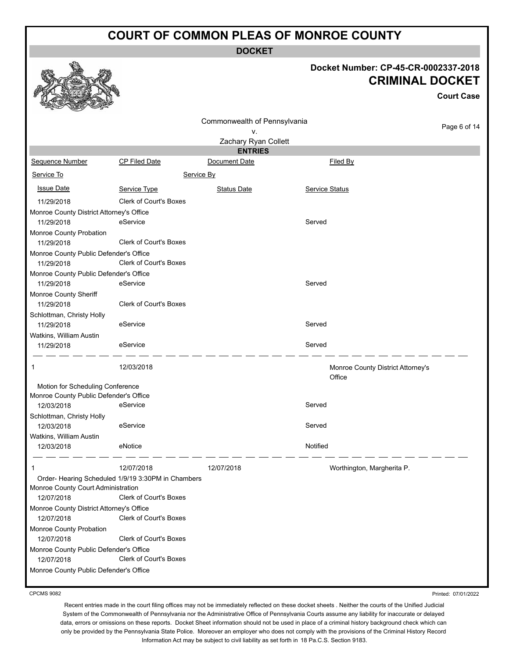**DOCKET**

### **Docket Number: CP-45-CR-0002337-2018 CRIMINAL DOCKET**

|                                                        |                                                    |                              |                                             | <b>Court Case</b> |
|--------------------------------------------------------|----------------------------------------------------|------------------------------|---------------------------------------------|-------------------|
|                                                        |                                                    | Commonwealth of Pennsylvania |                                             |                   |
|                                                        |                                                    | ۷.                           |                                             | Page 6 of 14      |
|                                                        |                                                    | Zachary Ryan Collett         |                                             |                   |
|                                                        |                                                    | <b>ENTRIES</b>               |                                             |                   |
| Sequence Number                                        | <b>CP Filed Date</b>                               | Document Date                | Filed By                                    |                   |
| Service To                                             |                                                    | Service By                   |                                             |                   |
| <b>Issue Date</b>                                      | Service Type                                       | <b>Status Date</b>           | Service Status                              |                   |
| 11/29/2018                                             | <b>Clerk of Court's Boxes</b>                      |                              |                                             |                   |
| Monroe County District Attorney's Office               |                                                    |                              |                                             |                   |
| 11/29/2018                                             | eService                                           |                              | Served                                      |                   |
| Monroe County Probation                                |                                                    |                              |                                             |                   |
| 11/29/2018                                             | <b>Clerk of Court's Boxes</b>                      |                              |                                             |                   |
| Monroe County Public Defender's Office                 |                                                    |                              |                                             |                   |
| 11/29/2018                                             | <b>Clerk of Court's Boxes</b>                      |                              |                                             |                   |
| Monroe County Public Defender's Office                 |                                                    |                              |                                             |                   |
| 11/29/2018                                             | eService                                           |                              | Served                                      |                   |
| Monroe County Sheriff                                  |                                                    |                              |                                             |                   |
| 11/29/2018                                             | Clerk of Court's Boxes                             |                              |                                             |                   |
| Schlottman, Christy Holly<br>11/29/2018                | eService                                           |                              | Served                                      |                   |
| Watkins, William Austin                                |                                                    |                              |                                             |                   |
| 11/29/2018                                             | eService                                           |                              | Served                                      |                   |
|                                                        |                                                    |                              |                                             |                   |
| 1                                                      | 12/03/2018                                         |                              | Monroe County District Attorney's<br>Office |                   |
| Motion for Scheduling Conference                       |                                                    |                              |                                             |                   |
| Monroe County Public Defender's Office                 |                                                    |                              |                                             |                   |
| 12/03/2018                                             | eService                                           |                              | Served                                      |                   |
| Schlottman, Christy Holly                              |                                                    |                              |                                             |                   |
| 12/03/2018                                             | eService                                           |                              | Served                                      |                   |
| Watkins, William Austin                                |                                                    |                              |                                             |                   |
| 12/03/2018                                             | eNotice                                            |                              | Notified                                    |                   |
| $\mathbf 1$                                            | 12/07/2018                                         | 12/07/2018                   | Worthington, Margherita P.                  |                   |
|                                                        | Order- Hearing Scheduled 1/9/19 3:30PM in Chambers |                              |                                             |                   |
| Monroe County Court Administration                     |                                                    |                              |                                             |                   |
| 12/07/2018                                             | Clerk of Court's Boxes                             |                              |                                             |                   |
| Monroe County District Attorney's Office<br>12/07/2018 | Clerk of Court's Boxes                             |                              |                                             |                   |
| Monroe County Probation                                |                                                    |                              |                                             |                   |
| 12/07/2018                                             | Clerk of Court's Boxes                             |                              |                                             |                   |
| Monroe County Public Defender's Office<br>12/07/2018   | <b>Clerk of Court's Boxes</b>                      |                              |                                             |                   |
| Monroe County Public Defender's Office                 |                                                    |                              |                                             |                   |
|                                                        |                                                    |                              |                                             |                   |

CPCMS 9082

Printed: 07/01/2022

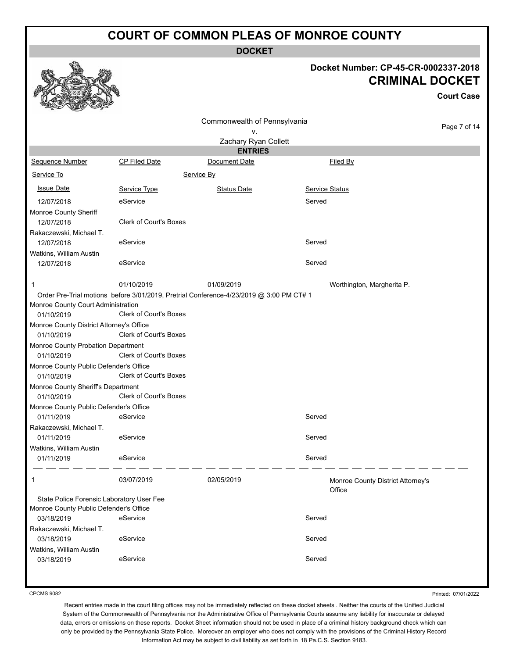**DOCKET**

### **Docket Number: CP-45-CR-0002337-2018 CRIMINAL DOCKET**

**Court Case**

|                                           |                               | Commonwealth of Pennsylvania                                                            |                                   |              |
|-------------------------------------------|-------------------------------|-----------------------------------------------------------------------------------------|-----------------------------------|--------------|
|                                           |                               | ٧.                                                                                      |                                   | Page 7 of 14 |
|                                           |                               | Zachary Ryan Collett                                                                    |                                   |              |
|                                           |                               | <b>ENTRIES</b>                                                                          |                                   |              |
| Sequence Number                           | <b>CP Filed Date</b>          | Document Date                                                                           | Filed By                          |              |
| Service To                                |                               | Service By                                                                              |                                   |              |
| <b>Issue Date</b>                         | Service Type                  | <b>Status Date</b>                                                                      | <b>Service Status</b>             |              |
| 12/07/2018                                | eService                      |                                                                                         | Served                            |              |
| Monroe County Sheriff                     |                               |                                                                                         |                                   |              |
| 12/07/2018                                | <b>Clerk of Court's Boxes</b> |                                                                                         |                                   |              |
| Rakaczewski, Michael T.                   |                               |                                                                                         |                                   |              |
| 12/07/2018                                | eService                      |                                                                                         | Served                            |              |
| Watkins, William Austin                   |                               |                                                                                         |                                   |              |
| 12/07/2018                                | eService                      |                                                                                         | Served                            |              |
| 1                                         | 01/10/2019                    | 01/09/2019                                                                              | Worthington, Margherita P.        |              |
|                                           |                               | Order Pre-Trial motions before 3/01/2019, Pretrial Conference-4/23/2019 @ 3:00 PM CT# 1 |                                   |              |
| Monroe County Court Administration        |                               |                                                                                         |                                   |              |
| 01/10/2019                                | Clerk of Court's Boxes        |                                                                                         |                                   |              |
| Monroe County District Attorney's Office  |                               |                                                                                         |                                   |              |
| 01/10/2019                                | Clerk of Court's Boxes        |                                                                                         |                                   |              |
| Monroe County Probation Department        |                               |                                                                                         |                                   |              |
| 01/10/2019                                | Clerk of Court's Boxes        |                                                                                         |                                   |              |
| Monroe County Public Defender's Office    |                               |                                                                                         |                                   |              |
| 01/10/2019                                | <b>Clerk of Court's Boxes</b> |                                                                                         |                                   |              |
| Monroe County Sheriff's Department        |                               |                                                                                         |                                   |              |
| 01/10/2019                                | <b>Clerk of Court's Boxes</b> |                                                                                         |                                   |              |
| Monroe County Public Defender's Office    |                               |                                                                                         |                                   |              |
| 01/11/2019                                | eService                      |                                                                                         | Served                            |              |
| Rakaczewski, Michael T.                   |                               |                                                                                         |                                   |              |
| 01/11/2019                                | eService                      |                                                                                         | Served                            |              |
| Watkins, William Austin                   |                               |                                                                                         |                                   |              |
| 01/11/2019                                | eService                      |                                                                                         | Served                            |              |
| 1                                         | 03/07/2019                    | 02/05/2019                                                                              | Monroe County District Attorney's |              |
|                                           |                               |                                                                                         | Office                            |              |
| State Police Forensic Laboratory User Fee |                               |                                                                                         |                                   |              |
| Monroe County Public Defender's Office    |                               |                                                                                         |                                   |              |
| 03/18/2019                                | eService                      |                                                                                         | Served                            |              |
| Rakaczewski, Michael T.                   |                               |                                                                                         |                                   |              |
| 03/18/2019                                | eService                      |                                                                                         | Served                            |              |
| Watkins, William Austin                   |                               |                                                                                         | Served                            |              |
| 03/18/2019                                | eService                      |                                                                                         |                                   |              |

CPCMS 9082

Printed: 07/01/2022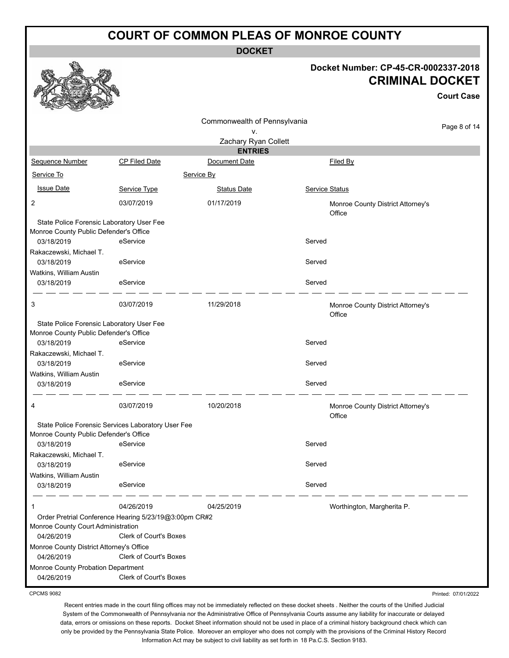**DOCKET**

#### **Docket Number: CP-45-CR-0002337-2018 CRIMINAL DOCKET**

**Court Case**

Printed: 07/01/2022

|                                                        |                                                                                        |                              |                                             | <b>Court Case</b> |
|--------------------------------------------------------|----------------------------------------------------------------------------------------|------------------------------|---------------------------------------------|-------------------|
|                                                        |                                                                                        | Commonwealth of Pennsylvania |                                             |                   |
|                                                        |                                                                                        | ٧.                           |                                             | Page 8 of 14      |
|                                                        |                                                                                        | Zachary Ryan Collett         |                                             |                   |
|                                                        |                                                                                        | <b>ENTRIES</b>               |                                             |                   |
| Sequence Number                                        | <b>CP Filed Date</b>                                                                   | Document Date                | Filed By                                    |                   |
| Service To                                             |                                                                                        | Service By                   |                                             |                   |
| <b>Issue Date</b>                                      | Service Type                                                                           | <b>Status Date</b>           | Service Status                              |                   |
| 2                                                      | 03/07/2019                                                                             | 01/17/2019                   | Monroe County District Attorney's<br>Office |                   |
| State Police Forensic Laboratory User Fee              |                                                                                        |                              |                                             |                   |
| Monroe County Public Defender's Office                 |                                                                                        |                              |                                             |                   |
| 03/18/2019                                             | eService                                                                               |                              | Served                                      |                   |
| Rakaczewski, Michael T.<br>03/18/2019                  | eService                                                                               |                              | Served                                      |                   |
| Watkins, William Austin                                |                                                                                        |                              |                                             |                   |
| 03/18/2019                                             | eService                                                                               |                              | Served                                      |                   |
| 3                                                      | 03/07/2019                                                                             | 11/29/2018                   | Monroe County District Attorney's<br>Office |                   |
| State Police Forensic Laboratory User Fee              |                                                                                        |                              |                                             |                   |
| Monroe County Public Defender's Office                 |                                                                                        |                              |                                             |                   |
| 03/18/2019                                             | eService                                                                               |                              | Served                                      |                   |
| Rakaczewski, Michael T.                                |                                                                                        |                              | Served                                      |                   |
| 03/18/2019<br>Watkins, William Austin                  | eService                                                                               |                              |                                             |                   |
| 03/18/2019                                             | eService                                                                               |                              | Served                                      |                   |
|                                                        |                                                                                        |                              |                                             |                   |
| 4                                                      | 03/07/2019                                                                             | 10/20/2018                   | Monroe County District Attorney's<br>Office |                   |
|                                                        | State Police Forensic Services Laboratory User Fee                                     |                              |                                             |                   |
| Monroe County Public Defender's Office                 |                                                                                        |                              |                                             |                   |
| 03/18/2019                                             | eService                                                                               |                              | Served                                      |                   |
| Rakaczewski, Michael T.<br>03/18/2019                  | eService                                                                               |                              | Served                                      |                   |
| Watkins, William Austin                                |                                                                                        |                              |                                             |                   |
| 03/18/2019                                             | eService                                                                               |                              | Served                                      |                   |
|                                                        | 04/26/2019                                                                             | 04/25/2019                   | Worthington, Margherita P.                  |                   |
| Monroe County Court Administration                     | Order Pretrial Conference Hearing 5/23/19@3:00pm CR#2<br><b>Clerk of Court's Boxes</b> |                              |                                             |                   |
| 04/26/2019<br>Monroe County District Attorney's Office |                                                                                        |                              |                                             |                   |
| 04/26/2019                                             | Clerk of Court's Boxes                                                                 |                              |                                             |                   |
| Monroe County Probation Department                     | <b>Clerk of Court's Boxes</b>                                                          |                              |                                             |                   |
| 04/26/2019                                             |                                                                                        |                              |                                             |                   |

CPCMS 9082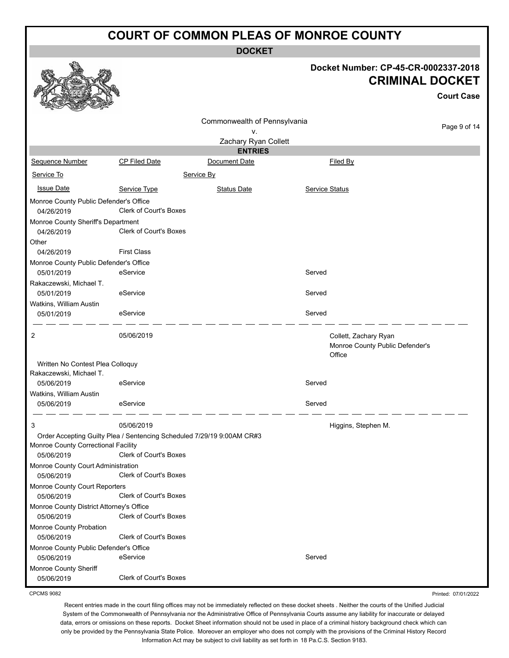**DOCKET**

#### **Docket Number: CP-45-CR-0002337-2018 CRIMINAL DOCKET**

**Court Case**

|                                                             |                                                                        |                              |                |                                                                    | Court Case   |
|-------------------------------------------------------------|------------------------------------------------------------------------|------------------------------|----------------|--------------------------------------------------------------------|--------------|
|                                                             |                                                                        | Commonwealth of Pennsylvania |                |                                                                    |              |
|                                                             |                                                                        | ٧.                           |                |                                                                    | Page 9 of 14 |
|                                                             |                                                                        | Zachary Ryan Collett         |                |                                                                    |              |
|                                                             |                                                                        | <b>ENTRIES</b>               |                |                                                                    |              |
| Sequence Number                                             | <b>CP Filed Date</b>                                                   | Document Date                |                | Filed By                                                           |              |
| Service To                                                  |                                                                        | Service By                   |                |                                                                    |              |
| <b>Issue Date</b>                                           | Service Type                                                           | <b>Status Date</b>           | Service Status |                                                                    |              |
| Monroe County Public Defender's Office                      |                                                                        |                              |                |                                                                    |              |
| 04/26/2019                                                  | Clerk of Court's Boxes                                                 |                              |                |                                                                    |              |
| Monroe County Sheriff's Department                          |                                                                        |                              |                |                                                                    |              |
| 04/26/2019                                                  | Clerk of Court's Boxes                                                 |                              |                |                                                                    |              |
| Other                                                       |                                                                        |                              |                |                                                                    |              |
| 04/26/2019                                                  | <b>First Class</b>                                                     |                              |                |                                                                    |              |
| Monroe County Public Defender's Office                      |                                                                        |                              |                |                                                                    |              |
| 05/01/2019                                                  | eService                                                               |                              | Served         |                                                                    |              |
| Rakaczewski, Michael T.                                     |                                                                        |                              |                |                                                                    |              |
| 05/01/2019                                                  | eService                                                               |                              | Served         |                                                                    |              |
| Watkins, William Austin                                     |                                                                        |                              |                |                                                                    |              |
| 05/01/2019                                                  | eService                                                               |                              | Served         |                                                                    |              |
| 2                                                           | 05/06/2019                                                             |                              |                | Collett, Zachary Ryan<br>Monroe County Public Defender's<br>Office |              |
| Written No Contest Plea Colloquy<br>Rakaczewski, Michael T. |                                                                        |                              |                |                                                                    |              |
| 05/06/2019                                                  | eService                                                               |                              | Served         |                                                                    |              |
| Watkins, William Austin                                     |                                                                        |                              |                |                                                                    |              |
| 05/06/2019                                                  | eService                                                               |                              | Served         |                                                                    |              |
|                                                             |                                                                        |                              |                |                                                                    |              |
| 3                                                           | 05/06/2019                                                             |                              |                | Higgins, Stephen M.                                                |              |
|                                                             | Order Accepting Guilty Plea / Sentencing Scheduled 7/29/19 9:00AM CR#3 |                              |                |                                                                    |              |
| Monroe County Correctional Facility<br>05/06/2019           | Clerk of Court's Boxes                                                 |                              |                |                                                                    |              |
|                                                             |                                                                        |                              |                |                                                                    |              |
| Monroe County Court Administration<br>05/06/2019            | Clerk of Court's Boxes                                                 |                              |                |                                                                    |              |
| Monroe County Court Reporters                               |                                                                        |                              |                |                                                                    |              |
| 05/06/2019                                                  | <b>Clerk of Court's Boxes</b>                                          |                              |                |                                                                    |              |
| Monroe County District Attorney's Office                    |                                                                        |                              |                |                                                                    |              |
| 05/06/2019                                                  | Clerk of Court's Boxes                                                 |                              |                |                                                                    |              |
| Monroe County Probation                                     |                                                                        |                              |                |                                                                    |              |
| 05/06/2019                                                  | Clerk of Court's Boxes                                                 |                              |                |                                                                    |              |
| Monroe County Public Defender's Office                      |                                                                        |                              |                |                                                                    |              |
| 05/06/2019                                                  | eService                                                               |                              | Served         |                                                                    |              |
| Monroe County Sheriff                                       |                                                                        |                              |                |                                                                    |              |
| 05/06/2019                                                  | Clerk of Court's Boxes                                                 |                              |                |                                                                    |              |

CPCMS 9082

Recent entries made in the court filing offices may not be immediately reflected on these docket sheets . Neither the courts of the Unified Judicial System of the Commonwealth of Pennsylvania nor the Administrative Office of Pennsylvania Courts assume any liability for inaccurate or delayed data, errors or omissions on these reports. Docket Sheet information should not be used in place of a criminal history background check which can only be provided by the Pennsylvania State Police. Moreover an employer who does not comply with the provisions of the Criminal History Record Information Act may be subject to civil liability as set forth in 18 Pa.C.S. Section 9183.

Printed: 07/01/2022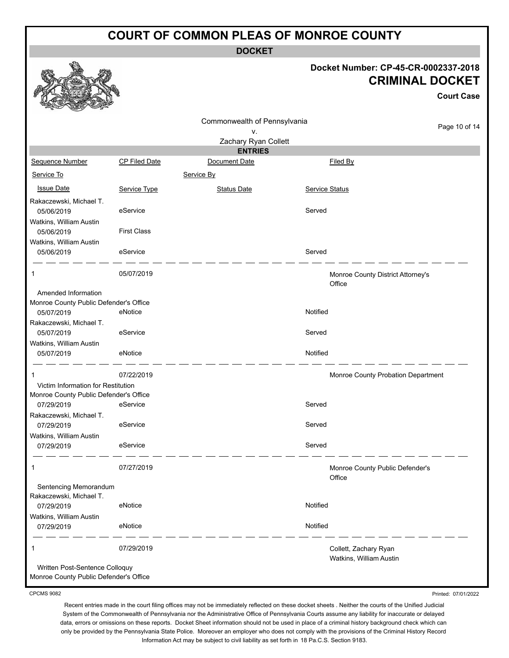**DOCKET**

### **Docket Number: CP-45-CR-0002337-2018 CRIMINAL DOCKET**

**Court Case**

|                                                                          |                    | Commonwealth of Pennsylvania |                |                                    |               |
|--------------------------------------------------------------------------|--------------------|------------------------------|----------------|------------------------------------|---------------|
|                                                                          |                    | ۷.                           |                |                                    | Page 10 of 14 |
|                                                                          |                    | Zachary Ryan Collett         |                |                                    |               |
|                                                                          |                    | <b>ENTRIES</b>               |                |                                    |               |
| Sequence Number                                                          | CP Filed Date      | Document Date                |                | Filed By                           |               |
| Service To                                                               |                    | Service By                   |                |                                    |               |
| <b>Issue Date</b>                                                        | Service Type       | <b>Status Date</b>           | Service Status |                                    |               |
| Rakaczewski, Michael T.                                                  |                    |                              |                |                                    |               |
| 05/06/2019                                                               | eService           |                              | Served         |                                    |               |
| Watkins, William Austin                                                  |                    |                              |                |                                    |               |
| 05/06/2019                                                               | <b>First Class</b> |                              |                |                                    |               |
| Watkins, William Austin                                                  | eService           |                              | Served         |                                    |               |
| 05/06/2019                                                               |                    |                              |                |                                    |               |
| -1                                                                       | 05/07/2019         |                              |                | Monroe County District Attorney's  |               |
|                                                                          |                    |                              |                | Office                             |               |
| Amended Information                                                      |                    |                              |                |                                    |               |
| Monroe County Public Defender's Office<br>05/07/2019                     | eNotice            |                              | Notified       |                                    |               |
| Rakaczewski, Michael T.                                                  |                    |                              |                |                                    |               |
| 05/07/2019                                                               | eService           |                              | Served         |                                    |               |
| Watkins, William Austin                                                  |                    |                              |                |                                    |               |
| 05/07/2019                                                               | eNotice            |                              | Notified       |                                    |               |
| -1                                                                       | 07/22/2019         |                              |                | Monroe County Probation Department |               |
| Victim Information for Restitution                                       |                    |                              |                |                                    |               |
| Monroe County Public Defender's Office                                   |                    |                              |                |                                    |               |
| 07/29/2019                                                               | eService           |                              | Served         |                                    |               |
| Rakaczewski, Michael T.                                                  | eService           |                              | Served         |                                    |               |
| 07/29/2019<br>Watkins, William Austin                                    |                    |                              |                |                                    |               |
| 07/29/2019                                                               | eService           |                              | Served         |                                    |               |
|                                                                          |                    |                              |                |                                    |               |
| 1                                                                        | 07/27/2019         |                              |                | Monroe County Public Defender's    |               |
|                                                                          |                    |                              |                | Office                             |               |
| Sentencing Memorandum                                                    |                    |                              |                |                                    |               |
| Rakaczewski, Michael T.<br>07/29/2019                                    | eNotice            |                              | Notified       |                                    |               |
| Watkins, William Austin                                                  |                    |                              |                |                                    |               |
| 07/29/2019                                                               | eNotice            |                              | Notified       |                                    |               |
|                                                                          |                    |                              |                |                                    |               |
| 1                                                                        | 07/29/2019         |                              |                | Collett, Zachary Ryan              |               |
|                                                                          |                    |                              |                | Watkins, William Austin            |               |
| Written Post-Sentence Colloquy<br>Monroe County Public Defender's Office |                    |                              |                |                                    |               |
|                                                                          |                    |                              |                |                                    |               |

CPCMS 9082

Recent entries made in the court filing offices may not be immediately reflected on these docket sheets . Neither the courts of the Unified Judicial System of the Commonwealth of Pennsylvania nor the Administrative Office of Pennsylvania Courts assume any liability for inaccurate or delayed data, errors or omissions on these reports. Docket Sheet information should not be used in place of a criminal history background check which can only be provided by the Pennsylvania State Police. Moreover an employer who does not comply with the provisions of the Criminal History Record Information Act may be subject to civil liability as set forth in 18 Pa.C.S. Section 9183.

Printed: 07/01/2022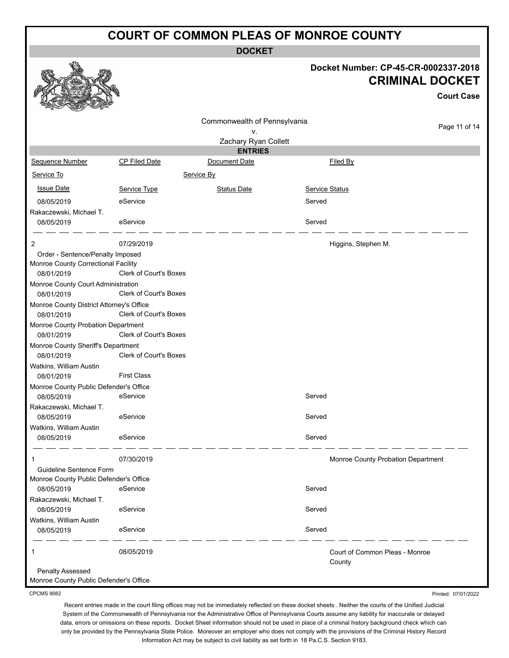**DOCKET**

|                                                                         |                        | <b>DOCKET</b>                   |                       |                                                                                     |
|-------------------------------------------------------------------------|------------------------|---------------------------------|-----------------------|-------------------------------------------------------------------------------------|
|                                                                         |                        |                                 |                       | Docket Number: CP-45-CR-0002337-2018<br><b>CRIMINAL DOCKET</b><br><b>Court Case</b> |
|                                                                         |                        | Commonwealth of Pennsylvania    |                       | Page 11 of 14                                                                       |
|                                                                         |                        | ν.                              |                       |                                                                                     |
|                                                                         |                        | Zachary Ryan Collett            |                       |                                                                                     |
| Sequence Number                                                         | CP Filed Date          | <b>ENTRIES</b><br>Document Date |                       | Filed By                                                                            |
|                                                                         |                        |                                 |                       |                                                                                     |
| Service To                                                              |                        | Service By                      |                       |                                                                                     |
| <b>Issue Date</b>                                                       | Service Type           | <b>Status Date</b>              | <b>Service Status</b> |                                                                                     |
| 08/05/2019                                                              | eService               |                                 | Served                |                                                                                     |
| Rakaczewski, Michael T.                                                 |                        |                                 |                       |                                                                                     |
| 08/05/2019                                                              | eService               |                                 | Served                |                                                                                     |
|                                                                         |                        |                                 |                       |                                                                                     |
| 2                                                                       | 07/29/2019             |                                 |                       | Higgins, Stephen M.                                                                 |
| Order - Sentence/Penalty Imposed<br>Monroe County Correctional Facility | Clerk of Court's Boxes |                                 |                       |                                                                                     |
| 08/01/2019<br>Monroe County Court Administration                        |                        |                                 |                       |                                                                                     |
| 08/01/2019                                                              | Clerk of Court's Boxes |                                 |                       |                                                                                     |
| Monroe County District Attorney's Office<br>08/01/2019                  | Clerk of Court's Boxes |                                 |                       |                                                                                     |
| Monroe County Probation Department<br>08/01/2019                        | Clerk of Court's Boxes |                                 |                       |                                                                                     |
| Monroe County Sheriff's Department                                      |                        |                                 |                       |                                                                                     |
| 08/01/2019                                                              | Clerk of Court's Boxes |                                 |                       |                                                                                     |
| Watkins, William Austin                                                 | <b>First Class</b>     |                                 |                       |                                                                                     |
| 08/01/2019<br>Monroe County Public Defender's Office                    |                        |                                 |                       |                                                                                     |
| 08/05/2019                                                              | eService               |                                 | Served                |                                                                                     |
| Rakaczewski, Michael T.                                                 |                        |                                 |                       |                                                                                     |
| 08/05/2019                                                              | eService               |                                 | Served                |                                                                                     |
| Watkins, William Austin                                                 |                        |                                 |                       |                                                                                     |
| 08/05/2019                                                              | eService               |                                 | Served                |                                                                                     |
|                                                                         | 07/30/2019             |                                 |                       | Monroe County Probation Department                                                  |
| Guideline Sentence Form                                                 |                        |                                 |                       |                                                                                     |
| Monroe County Public Defender's Office                                  | eService               |                                 | Served                |                                                                                     |
| 08/05/2019<br>Rakaczewski, Michael T.                                   |                        |                                 |                       |                                                                                     |
| 08/05/2019                                                              | eService               |                                 | Served                |                                                                                     |
| Watkins, William Austin                                                 |                        |                                 |                       |                                                                                     |
| 08/05/2019                                                              | eService               |                                 | Served                |                                                                                     |
|                                                                         | 08/05/2019             |                                 |                       | Court of Common Pleas - Monroe<br>County                                            |
| <b>Penalty Assessed</b><br>Monroe County Public Defender's Office       |                        |                                 |                       |                                                                                     |

CPCMS 9082

Printed: 07/01/2022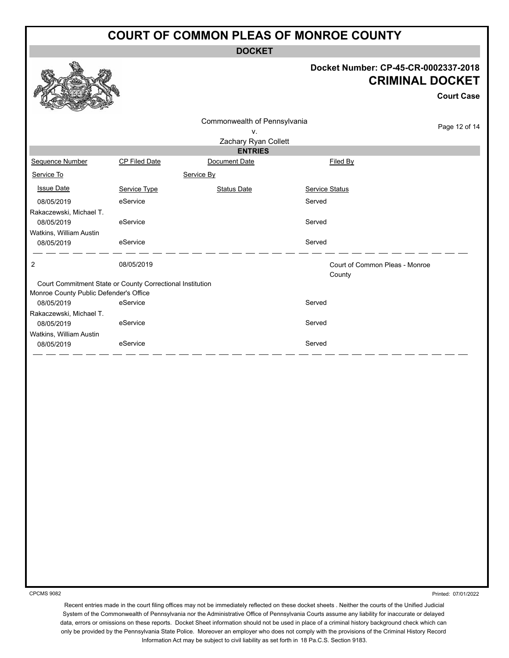**DOCKET**

## **Docket Number: CP-45-CR-0002337-2018 DOCKET**

**Court Case**

Page 12 of 14

|                                                           |               |                              | UNGLIJUIIINGI.                           | <b>CRIMINAL</b> |
|-----------------------------------------------------------|---------------|------------------------------|------------------------------------------|-----------------|
|                                                           |               | Commonwealth of Pennsylvania |                                          |                 |
|                                                           |               | V.<br>Zachary Ryan Collett   |                                          |                 |
|                                                           |               | <b>ENTRIES</b>               |                                          |                 |
| Sequence Number                                           | CP Filed Date | Document Date                | Filed By                                 |                 |
| Service To                                                |               | Service By                   |                                          |                 |
| <b>Issue Date</b>                                         | Service Type  | <b>Status Date</b>           | Service Status                           |                 |
| 08/05/2019                                                | eService      |                              | Served                                   |                 |
| Rakaczewski, Michael T.                                   |               |                              |                                          |                 |
| 08/05/2019                                                | eService      |                              | Served                                   |                 |
| Watkins, William Austin                                   |               |                              |                                          |                 |
| 08/05/2019                                                | eService      |                              | Served                                   |                 |
| $\mathbf{2}$                                              | 08/05/2019    |                              | Court of Common Pleas - Monroe<br>County |                 |
| Court Commitment State or County Correctional Institution |               |                              |                                          |                 |
| Monroe County Public Defender's Office                    |               |                              |                                          |                 |
| 08/05/2019                                                | eService      |                              | Served                                   |                 |
| Rakaczewski, Michael T.<br>08/05/2019                     | eService      |                              | Served                                   |                 |
| Watkins, William Austin                                   |               |                              |                                          |                 |
| 08/05/2019                                                | eService      |                              | Served                                   |                 |
|                                                           |               |                              |                                          |                 |
|                                                           |               |                              |                                          |                 |
|                                                           |               |                              |                                          |                 |
|                                                           |               |                              |                                          |                 |

CPCMS 9082

**SP** 

Printed: 07/01/2022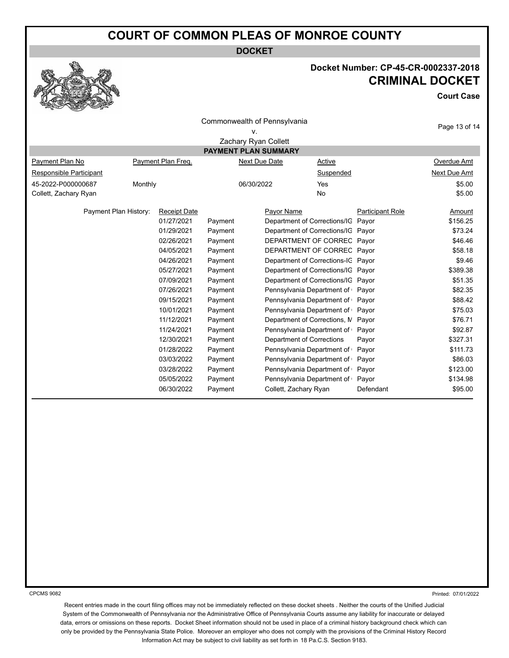**DOCKET**



## **Docket Number: CP-45-CR-0002337-2018 CRIMINAL DOCKET**

**Court Case**

| Commonwealth of Pennsylvania<br>٧. |                    |                     |               |                                    |                                    |                         |               |  |  |  |  |  |  |
|------------------------------------|--------------------|---------------------|---------------|------------------------------------|------------------------------------|-------------------------|---------------|--|--|--|--|--|--|
| Zachary Ryan Collett               |                    |                     |               |                                    |                                    |                         |               |  |  |  |  |  |  |
| <b>PAYMENT PLAN SUMMARY</b>        |                    |                     |               |                                    |                                    |                         |               |  |  |  |  |  |  |
| Payment Plan No                    | Payment Plan Freq. |                     | Next Due Date |                                    | Active                             |                         | Overdue Amt   |  |  |  |  |  |  |
| Responsible Participant            |                    |                     |               |                                    | Suspended                          |                         | Next Due Amt  |  |  |  |  |  |  |
| 45-2022-P000000687                 |                    | Monthly             |               | 06/30/2022                         |                                    |                         | \$5.00        |  |  |  |  |  |  |
| Collett, Zachary Ryan              |                    |                     |               |                                    |                                    |                         | \$5.00        |  |  |  |  |  |  |
| Payment Plan History:              |                    | <b>Receipt Date</b> |               | Payor Name                         |                                    | <b>Participant Role</b> | <b>Amount</b> |  |  |  |  |  |  |
|                                    |                    | 01/27/2021          | Payment       | Department of Corrections/IG       |                                    | Payor                   | \$156.25      |  |  |  |  |  |  |
|                                    |                    | 01/29/2021          | Payment       | Department of Corrections/IG       |                                    | Payor                   | \$73.24       |  |  |  |  |  |  |
|                                    |                    | 02/26/2021          | Payment       |                                    | DEPARTMENT OF CORREC               |                         | \$46.46       |  |  |  |  |  |  |
|                                    |                    | 04/05/2021          | Payment       | DEPARTMENT OF CORREC               |                                    | Payor                   | \$58.18       |  |  |  |  |  |  |
|                                    |                    | 04/26/2021          | Payment       | Department of Corrections-IC Payor |                                    |                         | \$9.46        |  |  |  |  |  |  |
|                                    |                    | 05/27/2021          | Payment       | Department of Corrections/IG Payor |                                    |                         | \$389.38      |  |  |  |  |  |  |
|                                    |                    | 07/09/2021          | Payment       |                                    | Department of Corrections/IG Payor |                         | \$51.35       |  |  |  |  |  |  |
|                                    |                    | 07/26/2021          | Payment       | Pennsylvania Department of Payor   |                                    |                         | \$82.35       |  |  |  |  |  |  |
|                                    |                    | 09/15/2021          | Payment       | Pennsylvania Department of         |                                    | Payor                   | \$88.42       |  |  |  |  |  |  |
|                                    |                    | 10/01/2021          | Payment       | Pennsylvania Department of         |                                    | Payor                   | \$75.03       |  |  |  |  |  |  |
|                                    |                    | 11/12/2021          | Payment       | Department of Corrections, M       |                                    | Payor                   | \$76.71       |  |  |  |  |  |  |
|                                    |                    | 11/24/2021          | Payment       | Pennsylvania Department of Payor   |                                    |                         | \$92.87       |  |  |  |  |  |  |
|                                    |                    | 12/30/2021          | Payment       | Department of Corrections          |                                    | Payor                   | \$327.31      |  |  |  |  |  |  |
|                                    |                    | 01/28/2022          | Payment       | Pennsylvania Department of         |                                    | Payor                   | \$111.73      |  |  |  |  |  |  |
|                                    |                    | 03/03/2022          | Payment       | Pennsylvania Department of         |                                    | Payor                   | \$86.03       |  |  |  |  |  |  |
|                                    |                    | 03/28/2022          | Payment       | Pennsylvania Department of         |                                    | Payor                   | \$123.00      |  |  |  |  |  |  |
|                                    |                    | 05/05/2022          | Payment       | Pennsylvania Department of         |                                    | Payor                   | \$134.98      |  |  |  |  |  |  |
|                                    |                    | 06/30/2022          | Payment       | Collett, Zachary Ryan              |                                    | Defendant               | \$95.00       |  |  |  |  |  |  |

CPCMS 9082

Printed: 07/01/2022